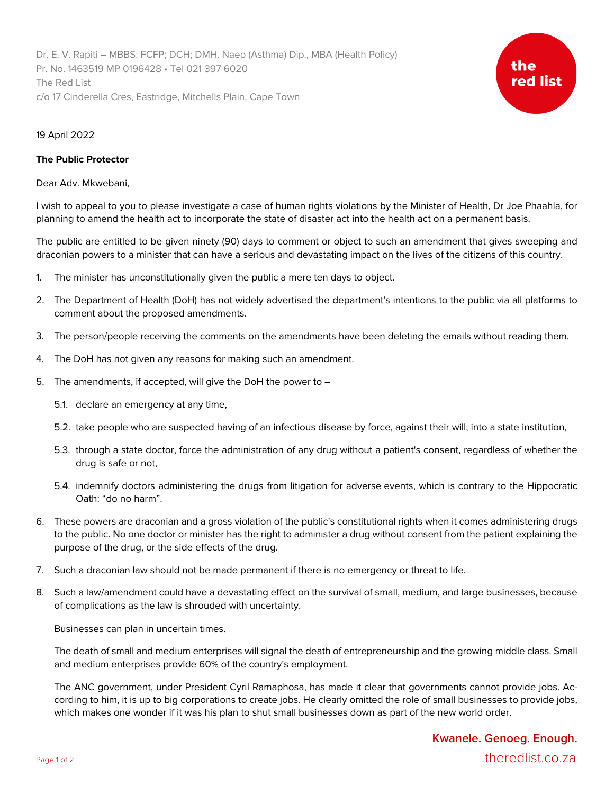Dr. E. V. Rapiti – MBBS: FCFP; DCH; DMH. Naep (Asthma) Dip., MBA (Health Policy) Pr. No. 1463519 MP 0196428 • Tel 021 397 6020 The Red List c/o 17 Cinderella Cres, Eastridge, Mitchells Plain, Cape Town



## 19 April 2022

## **The Public Protector**

Dear Adv. Mkwebani,

I wish to appeal to you to please investigate a case of human rights violations by the Minister of Health, Dr Joe Phaahla, for planning to amend the health act to incorporate the state of disaster act into the health act on a permanent basis.

The public are entitled to be given ninety (90) days to comment or object to such an amendment that gives sweeping and draconian powers to a minister that can have a serious and devastating impact on the lives of the citizens of this country.

- 1. The minister has unconstitutionally given the public a mere ten days to object.
- 2. The Department of Health (DoH) has not widely advertised the department's intentions to the public via all platforms to comment about the proposed amendments.
- 3. The person/people receiving the comments on the amendments have been deleting the emails without reading them.
- 4. The DoH has not given any reasons for making such an amendment.
- 5. The amendments, if accepted, will give the DoH the power to
	- 5.1. declare an emergency at any time,
	- 5.2. take people who are suspected having of an infectious disease by force, against their will, into a state institution,
	- 5.3. through a state doctor, force the administration of any drug without a patient's consent, regardless of whether the drug is safe or not,
	- 5.4. indemnify doctors administering the drugs from litigation for adverse events, which is contrary to the Hippocratic Oath: "do no harm".
- 6. These powers are draconian and a gross violation of the public's constitutional rights when it comes administering drugs to the public. No one doctor or minister has the right to administer a drug without consent from the patient explaining the purpose of the drug, or the side effects of the drug.
- 7. Such a draconian law should not be made permanent if there is no emergency or threat to life.
- 8. Such a law/amendment could have a devastating effect on the survival of small, medium, and large businesses, because of complications as the law is shrouded with uncertainty.

Businesses can plan in uncertain times.

The death of small and medium enterprises will signal the death of entrepreneurship and the growing middle class. Small and medium enterprises provide 60% of the country's employment.

The ANC government, under President Cyril Ramaphosa, has made it clear that governments cannot provide jobs. According to him, it is up to big corporations to create jobs. He clearly omitted the role of small businesses to provide jobs, which makes one wonder if it was his plan to shut small businesses down as part of the new world order.